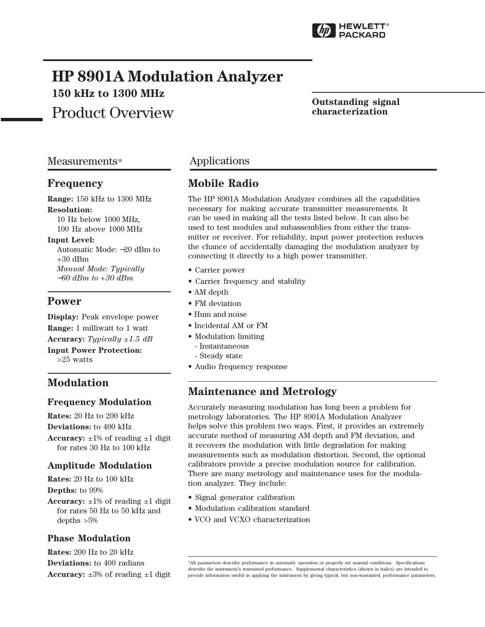

# **HP 8901A Modulation Analyzer 150 kHz to 1300 MHz**

Product Overview

#### **Outstanding signal characterization**

### Measurements\*

#### **Frequency**

**Range:** 150 kHz to 1300 MHz **Resolution:** 10 Hz below 1000 MHz,

100 Hz above 1000 MHz

#### **Input Level:**

Automatic Mode: −20 dBm to  $+30$  dBm *Manual Mode: Typically* <sup>−</sup>*60 dBm to +30 dBm*

### **Power**

**Display:** Peak envelope power **Range:** 1 milliwatt to 1 watt **Accuracy:** *Typically ±1.5 dB* **Input Power Protection:** >25 watts

### **Modulation**

#### **Frequency Modulation**

**Rates:** 20 Hz to 200 kHz **Deviations:** to 400 kHz **Accuracy:**  $\pm 1\%$  of reading  $\pm 1$  digit for rates 30 Hz to 100 kHz

### **Amplitude Modulation**

**Rates:** 20 Hz to 100 kHz **Depths:** to 99%

**Accuracy:**  $\pm 1\%$  of reading  $\pm 1$  digit for rates 50 Hz to 50 kHz and depths >5%

#### **Phase Modulation**

**Rates:** 200 Hz to 20 kHz **Deviations:** to 400 radians **Accuracy:**  $\pm 3\%$  of reading  $\pm 1$  digit

### Applications

## **Mobile Radio**

The HP 8901A Modulation Analyzer combines all the capabilities necessary for making accurate transmitter measurements. It can be used in making all the tests listed below. It can also be used to test modules and subassemblies from either the transmitter or receiver. For reliability, input power protection reduces the chance of accidentally damaging the modulation analyzer by connecting it directly to a high power transmitter.

- Carrier power
- Carrier frequency and stability
- AM depth
- FM deviation
- Hum and noise
- Incidental AM or FM
- Modulation limiting
	- Instantaneous
	- Steady state
- Audio frequency response

### **Maintenance and Metrology**

Accurately measuring modulation has long been a problem for metrology laboratories. The HP 8901A Modulation Analyzer helps solve this problem two ways. First, it provides an extremely accurate method of measuring AM depth and FM deviation, and it recovers the modulation with little degradation for making measurements such as modulation distortion. Second, the optional calibrators provide a precise modulation source for calibration. There are many metrology and maintenance uses for the modulation analyzer. They include:

- Signal generator calibration
- Modulation calibration standard
- VCO and VCXO characterization

<sup>\*</sup>All parameters describe performance in automatic operation or properly set manual conditions. Specifications describe the instrument's warranted performance. Supplemental characteristics (shown in italics) are intended to provide information useful in applying the instrument by giving typical, but non-warranted, performance parameters.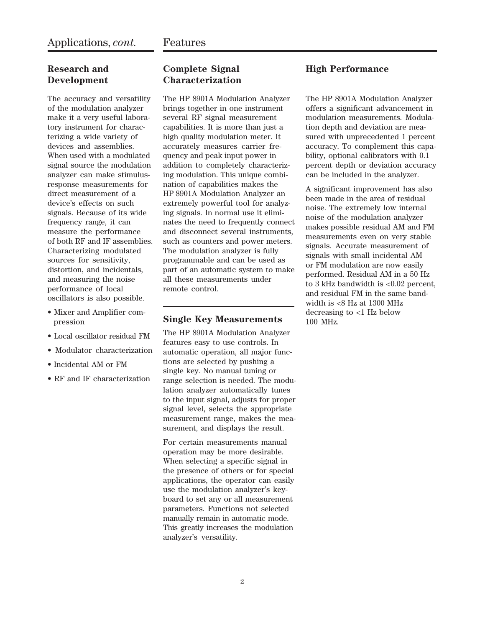### **Research and Development**

The accuracy and versatility of the modulation analyzer make it a very useful laboratory instrument for characterizing a wide variety of devices and assemblies. When used with a modulated signal source the modulation analyzer can make stimulusresponse measurements for direct measurement of a device's effects on such signals. Because of its wide frequency range, it can measure the performance of both RF and IF assemblies. Characterizing modulated sources for sensitivity, distortion, and incidentals, and measuring the noise performance of local oscillators is also possible.

- Mixer and Amplifier compression
- Local oscillator residual FM
- Modulator characterization
- Incidental AM or FM
- RF and IF characterization

### **Complete Signal Characterization**

The HP 8901A Modulation Analyzer brings together in one instrument several RF signal measurement capabilities. It is more than just a high quality modulation meter. It accurately measures carrier frequency and peak input power in addition to completely characterizing modulation. This unique combination of capabilities makes the HP 8901A Modulation Analyzer an extremely powerful tool for analyzing signals. In normal use it eliminates the need to frequently connect and disconnect several instruments, such as counters and power meters. The modulation analyzer is fully programmable and can be used as part of an automatic system to make all these measurements under remote control.

#### **Single Key Measurements**

The HP 8901A Modulation Analyzer features easy to use controls. In automatic operation, all major functions are selected by pushing a single key. No manual tuning or range selection is needed. The modulation analyzer automatically tunes to the input signal, adjusts for proper signal level, selects the appropriate measurement range, makes the measurement, and displays the result.

For certain measurements manual operation may be more desirable. When selecting a specific signal in the presence of others or for special applications, the operator can easily use the modulation analyzer's keyboard to set any or all measurement parameters. Functions not selected manually remain in automatic mode. This greatly increases the modulation analyzer's versatility.

### **High Performance**

The HP 8901A Modulation Analyzer offers a significant advancement in modulation measurements. Modulation depth and deviation are measured with unprecedented 1 percent accuracy. To complement this capability, optional calibrators with 0.1 percent depth or deviation accuracy can be included in the analyzer.

A significant improvement has also been made in the area of residual noise. The extremely low internal noise of the modulation analyzer makes possible residual AM and FM measurements even on very stable signals. Accurate measurement of signals with small incidental AM or FM modulation are now easily performed. Residual AM in a 50 Hz to 3 kHz bandwidth is <0.02 percent, and residual FM in the same bandwidth is  $< 8$  Hz at 1300 MHz decreasing to <1 Hz below 100 MHz.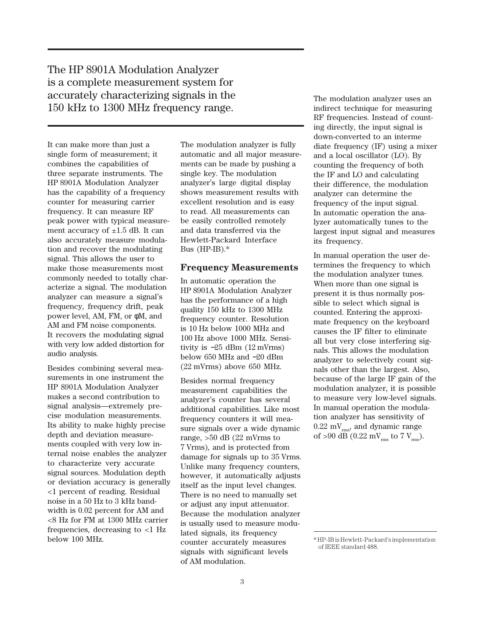The HP 8901A Modulation Analyzer is a complete measurement system for accurately characterizing signals in the 150 kHz to 1300 MHz frequency range.

It can make more than just a single form of measurement; it combines the capabilities of three separate instruments. The HP 8901A Modulation Analyzer has the capability of a frequency counter for measuring carrier frequency. It can measure RF peak power with typical measurement accuracy of  $\pm 1.5$  dB. It can also accurately measure modulation and recover the modulating signal. This allows the user to make those measurements most commonly needed to totally characterize a signal. The modulation analyzer can measure a signal's frequency, frequency drift, peak power level, AM, FM, or φM, and AM and FM noise components. It recovers the modulating signal with very low added distortion for audio analysis.

Besides combining several measurements in one instrument the HP 8901A Modulation Analyzer makes a second contribution to signal analysis—extremely precise modulation measurements. Its ability to make highly precise depth and deviation measurements coupled with very low internal noise enables the analyzer to characterize very accurate signal sources. Modulation depth or deviation accuracy is generally <1 percent of reading. Residual noise in a 50 Hz to 3 kHz bandwidth is 0.02 percent for AM and <8 Hz for FM at 1300 MHz carrier frequencies, decreasing to <1 Hz below 100 MHz.

The modulation analyzer is fully automatic and all major measurements can be made by pushing a single key. The modulation analyzer's large digital display shows measurement results with excellent resolution and is easy to read. All measurements can be easily controlled remotely and data transferred via the Hewlett-Packard Interface Bus (HP-IB).\*

#### **Frequency Measurements**

In automatic operation the HP 8901A Modulation Analyzer has the performance of a high quality 150 kHz to 1300 MHz frequency counter. Resolution is 10 Hz below 1000 MHz and 100 Hz above 1000 MHz. Sensitivity is −25 dBm (12 mVrms) below 650 MHz and −20 dBm (22 mVrms) above 650 MHz.

Besides normal frequency measurement capabilities the analyzer's counter has several additional capabilities. Like most frequency counters it will measure signals over a wide dynamic range, >50 dB (22 mVrms to 7 Vrms), and is protected from damage for signals up to 35 Vrms. Unlike many frequency counters, however, it automatically adjusts itself as the input level changes. There is no need to manually set or adjust any input attenuator. Because the modulation analyzer is usually used to measure modulated signals, its frequency counter accurately measures signals with significant levels of AM modulation.

The modulation analyzer uses an indirect technique for measuring RF frequencies. Instead of counting directly, the input signal is down-converted to an interme diate frequency (IF) using a mixer and a local oscillator (LO). By counting the frequency of both the IF and LO and calculating their difference, the modulation analyzer can determine the frequency of the input signal. In automatic operation the analyzer automatically tunes to the largest input signal and measures its frequency.

In manual operation the user determines the frequency to which the modulation analyzer tunes. When more than one signal is present it is thus normally possible to select which signal is counted. Entering the approximate frequency on the keyboard causes the IF filter to eliminate all but very close interfering signals. This allows the modulation analyzer to selectively count signals other than the largest. Also, because of the large IF gain of the modulation analyzer, it is possible to measure very low-level signals. In manual operation the modulation analyzer has sensitivity of  $0.22 \text{ mV}_{rms}$ , and dynamic range of >90 dB (0.22 mV<sub>rms</sub> to 7 V<sub>rms</sub>).

<sup>\*</sup> HP-IB is Hewlett-Packard's implementation of IEEE standard 488.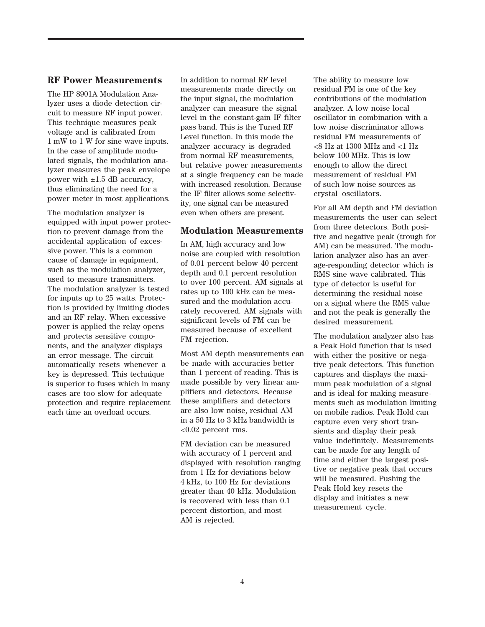#### **RF Power Measurements**

The HP 8901A Modulation Analyzer uses a diode detection circuit to measure RF input power. This technique measures peak voltage and is calibrated from 1 mW to 1 W for sine wave inputs. In the case of amplitude modulated signals, the modulation analyzer measures the peak envelope power with  $\pm 1.5$  dB accuracy, thus eliminating the need for a power meter in most applications.

The modulation analyzer is equipped with input power protection to prevent damage from the accidental application of excessive power. This is a common cause of damage in equipment, such as the modulation analyzer, used to measure transmitters. The modulation analyzer is tested for inputs up to 25 watts. Protection is provided by limiting diodes and an RF relay. When excessive power is applied the relay opens and protects sensitive components, and the analyzer displays an error message. The circuit automatically resets whenever a key is depressed. This technique is superior to fuses which in many cases are too slow for adequate protection and require replacement each time an overload occurs.

In addition to normal RF level measurements made directly on the input signal, the modulation analyzer can measure the signal level in the constant-gain IF filter pass band. This is the Tuned RF Level function. In this mode the analyzer accuracy is degraded from normal RF measurements, but relative power measurements at a single frequency can be made with increased resolution. Because the IF filter allows some selectivity, one signal can be measured even when others are present.

#### **Modulation Measurements**

In AM, high accuracy and low noise are coupled with resolution of 0.01 percent below 40 percent depth and 0.1 percent resolution to over 100 percent. AM signals at rates up to 100 kHz can be measured and the modulation accurately recovered. AM signals with significant levels of FM can be measured because of excellent FM rejection.

Most AM depth measurements can be made with accuracies better than 1 percent of reading. This is made possible by very linear amplifiers and detectors. Because these amplifiers and detectors are also low noise, residual AM in a 50 Hz to 3 kHz bandwidth is <0.02 percent rms.

FM deviation can be measured with accuracy of 1 percent and displayed with resolution ranging from 1 Hz for deviations below 4 kHz, to 100 Hz for deviations greater than 40 kHz. Modulation is recovered with less than 0.1 percent distortion, and most AM is rejected.

The ability to measure low residual FM is one of the key contributions of the modulation analyzer. A low noise local oscillator in combination with a low noise discriminator allows residual FM measurements of <8 Hz at 1300 MHz and <1 Hz below 100 MHz. This is low enough to allow the direct measurement of residual FM of such low noise sources as crystal oscillators.

For all AM depth and FM deviation measurements the user can select from three detectors. Both positive and negative peak (trough for AM) can be measured. The modulation analyzer also has an average-responding detector which is RMS sine wave calibrated. This type of detector is useful for determining the residual noise on a signal where the RMS value and not the peak is generally the desired measurement.

The modulation analyzer also has a Peak Hold function that is used with either the positive or negative peak detectors. This function captures and displays the maximum peak modulation of a signal and is ideal for making measurements such as modulation limiting on mobile radios. Peak Hold can capture even very short transients and display their peak value indefinitely. Measurements can be made for any length of time and either the largest positive or negative peak that occurs will be measured. Pushing the Peak Hold key resets the display and initiates a new measurement cycle.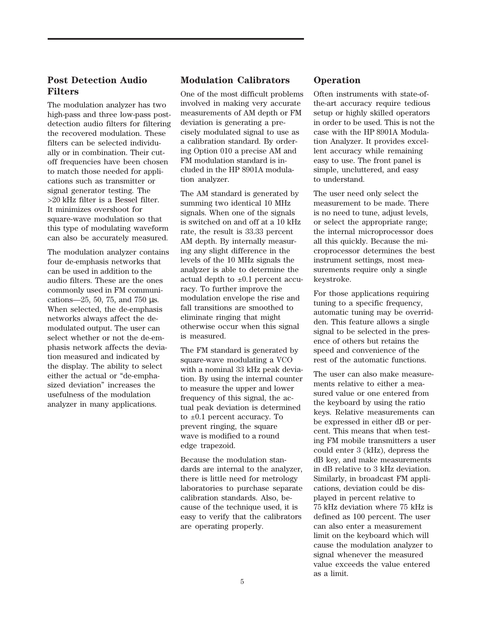### **Post Detection Audio Filters**

The modulation analyzer has two high-pass and three low-pass postdetection audio filters for filtering the recovered modulation. These filters can be selected individually or in combination. Their cutoff frequencies have been chosen to match those needed for applications such as transmitter or signal generator testing. The >20 kHz filter is a Bessel filter. It minimizes overshoot for square-wave modulation so that this type of modulating waveform can also be accurately measured.

The modulation analyzer contains four de-emphasis networks that can be used in addition to the audio filters. These are the ones commonly used in FM communications—25, 50, 75, and 750 µs. When selected, the de-emphasis networks always affect the demodulated output. The user can select whether or not the de-emphasis network affects the deviation measured and indicated by the display. The ability to select either the actual or "de-emphasized deviation" increases the usefulness of the modulation analyzer in many applications.

#### **Modulation Calibrators**

One of the most difficult problems involved in making very accurate measurements of AM depth or FM deviation is generating a precisely modulated signal to use as a calibration standard. By ordering Option 010 a precise AM and FM modulation standard is included in the HP 8901A modulation analyzer.

The AM standard is generated by summing two identical 10 MHz signals. When one of the signals is switched on and off at a 10 kHz rate, the result is 33.33 percent AM depth. By internally measuring any slight difference in the levels of the 10 MHz signals the analyzer is able to determine the actual depth to  $\pm 0.1$  percent accuracy. To further improve the modulation envelope the rise and fall transitions are smoothed to eliminate ringing that might otherwise occur when this signal is measured.

The FM standard is generated by square-wave modulating a VCO with a nominal 33 kHz peak deviation. By using the internal counter to measure the upper and lower frequency of this signal, the actual peak deviation is determined to  $\pm 0.1$  percent accuracy. To prevent ringing, the square wave is modified to a round edge trapezoid.

Because the modulation standards are internal to the analyzer, there is little need for metrology laboratories to purchase separate calibration standards. Also, because of the technique used, it is easy to verify that the calibrators are operating properly.

#### **Operation**

Often instruments with state-ofthe-art accuracy require tedious setup or highly skilled operators in order to be used. This is not the case with the HP 8901A Modulation Analyzer. It provides excellent accuracy while remaining easy to use. The front panel is simple, uncluttered, and easy to understand.

The user need only select the measurement to be made. There is no need to tune, adjust levels, or select the appropriate range; the internal microprocessor does all this quickly. Because the microprocessor determines the best instrument settings, most measurements require only a single keystroke.

For those applications requiring tuning to a specific frequency, automatic tuning may be overridden. This feature allows a single signal to be selected in the presence of others but retains the speed and convenience of the rest of the automatic functions.

The user can also make measurements relative to either a measured value or one entered from the keyboard by using the ratio keys. Relative measurements can be expressed in either dB or percent. This means that when testing FM mobile transmitters a user could enter 3 (kHz), depress the dB key, and make measurements in dB relative to 3 kHz deviation. Similarly, in broadcast FM applications, deviation could be displayed in percent relative to 75 kHz deviation where 75 kHz is defined as 100 percent. The user can also enter a measurement limit on the keyboard which will cause the modulation analyzer to signal whenever the measured value exceeds the value entered as a limit.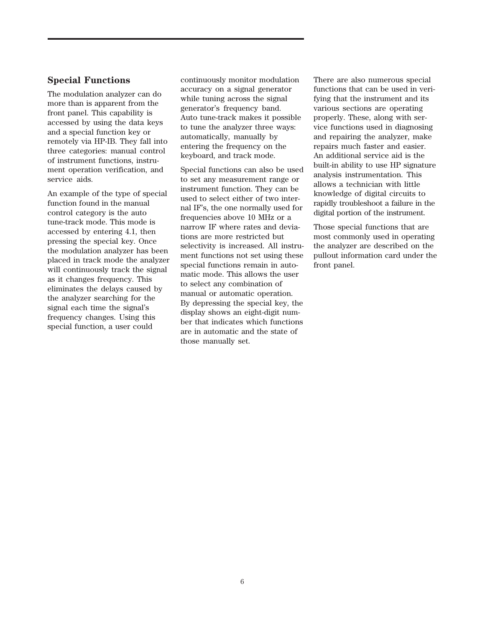#### **Special Functions**

The modulation analyzer can do more than is apparent from the front panel. This capability is accessed by using the data keys and a special function key or remotely via HP-IB. They fall into three categories: manual control of instrument functions, instrument operation verification, and service aids.

An example of the type of special function found in the manual control category is the auto tune-track mode. This mode is accessed by entering 4.1, then pressing the special key. Once the modulation analyzer has been placed in track mode the analyzer will continuously track the signal as it changes frequency. This eliminates the delays caused by the analyzer searching for the signal each time the signal's frequency changes. Using this special function, a user could

continuously monitor modulation accuracy on a signal generator while tuning across the signal generator's frequency band. Auto tune-track makes it possible to tune the analyzer three ways: automatically, manually by entering the frequency on the keyboard, and track mode.

Special functions can also be used to set any measurement range or instrument function. They can be used to select either of two internal IF's, the one normally used for frequencies above 10 MHz or a narrow IF where rates and deviations are more restricted but selectivity is increased. All instrument functions not set using these special functions remain in automatic mode. This allows the user to select any combination of manual or automatic operation. By depressing the special key, the display shows an eight-digit number that indicates which functions are in automatic and the state of those manually set.

There are also numerous special functions that can be used in verifying that the instrument and its various sections are operating properly. These, along with service functions used in diagnosing and repairing the analyzer, make repairs much faster and easier. An additional service aid is the built-in ability to use HP signature analysis instrumentation. This allows a technician with little knowledge of digital circuits to rapidly troubleshoot a failure in the digital portion of the instrument.

Those special functions that are most commonly used in operating the analyzer are described on the pullout information card under the front panel.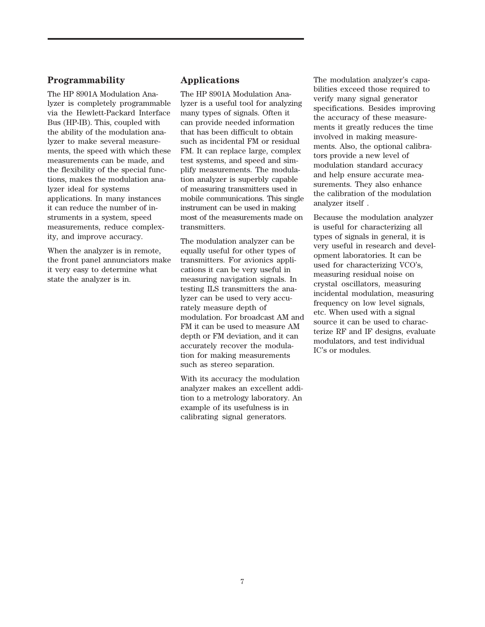#### **Programmability**

The HP 8901A Modulation Analyzer is completely programmable via the Hewlett-Packard Interface Bus (HP-IB). This, coupled with the ability of the modulation analyzer to make several measurements, the speed with which these measurements can be made, and the flexibility of the special functions, makes the modulation analyzer ideal for systems applications. In many instances it can reduce the number of instruments in a system, speed measurements, reduce complexity, and improve accuracy.

When the analyzer is in remote, the front panel annunciators make it very easy to determine what state the analyzer is in.

#### **Applications**

The HP 8901A Modulation Analyzer is a useful tool for analyzing many types of signals. Often it can provide needed information that has been difficult to obtain such as incidental FM or residual FM. It can replace large, complex test systems, and speed and simplify measurements. The modulation analyzer is superbly capable of measuring transmitters used in mobile communications. This single instrument can be used in making most of the measurements made on transmitters.

The modulation analyzer can be equally useful for other types of transmitters. For avionics applications it can be very useful in measuring navigation signals. In testing ILS transmitters the analyzer can be used to very accurately measure depth of modulation. For broadcast AM and FM it can be used to measure AM depth or FM deviation, and it can accurately recover the modulation for making measurements such as stereo separation.

With its accuracy the modulation analyzer makes an excellent addition to a metrology laboratory. An example of its usefulness is in calibrating signal generators.

The modulation analyzer's capabilities exceed those required to verify many signal generator specifications. Besides improving the accuracy of these measurements it greatly reduces the time involved in making measurements. Also, the optional calibrators provide a new level of modulation standard accuracy and help ensure accurate measurements. They also enhance the calibration of the modulation analyzer itself .

Because the modulation analyzer is useful for characterizing all types of signals in general, it is very useful in research and development laboratories. It can be used for characterizing VCO's, measuring residual noise on crystal oscillators, measuring incidental modulation, measuring frequency on low level signals, etc. When used with a signal source it can be used to characterize RF and IF designs, evaluate modulators, and test individual IC's or modules.